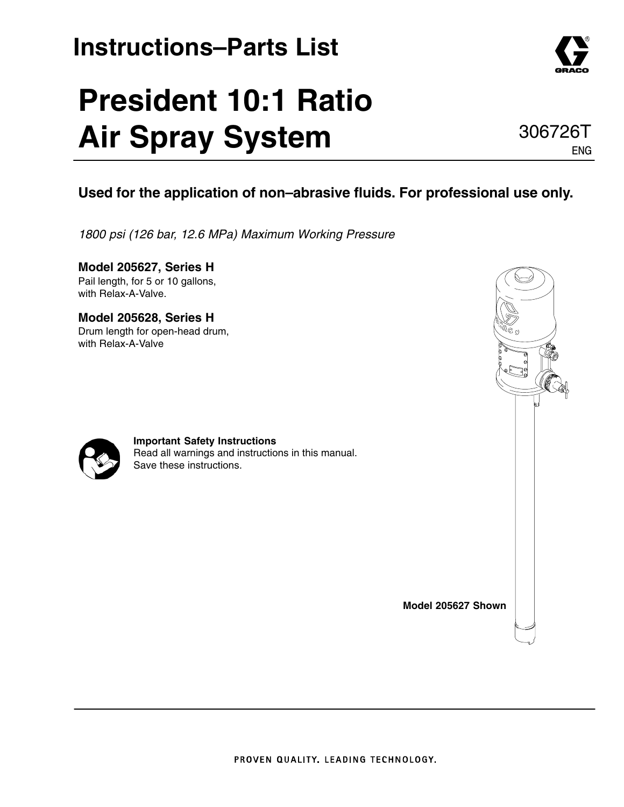### **Instructions–Parts List**

# **President 10:1 Ratio Air Spray System**

### **Used for the application of non–abrasive fluids. For professional use only.**

*1800 psi (126 bar, 12.6 MPa) Maximum Working Pressure*

**Model 205627, Series H** Pail length, for 5 or 10 gallons, with Relax-A-Valve.

**Model 205628, Series H** Drum length for open-head drum, with Relax-A-Valve





**Important Safety Instructions** Read all warnings and instructions in this manual. Save these instructions.

**Model 205627 Shown**



ENG

306726T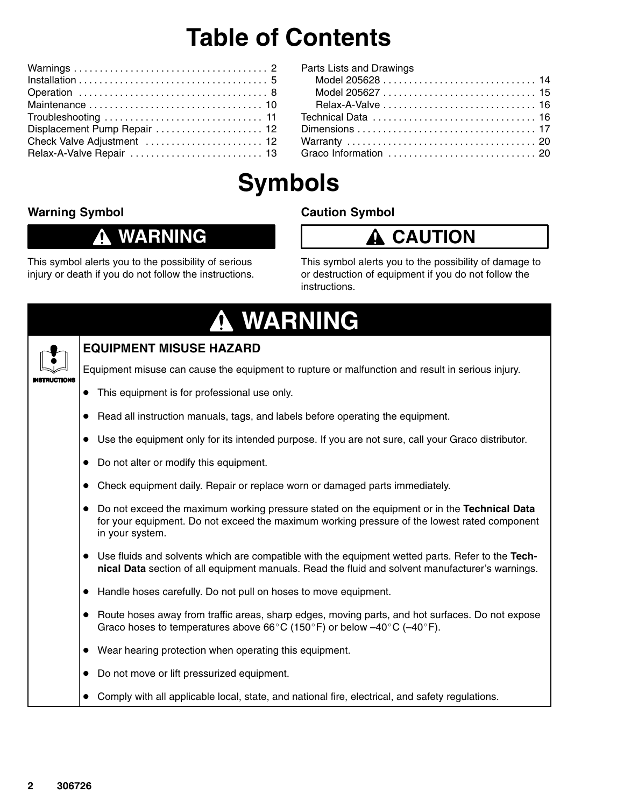## **Table of Contents**

| Displacement Pump Repair  12 |
|------------------------------|
| Check Valve Adjustment  12   |
|                              |

| Parts Lists and Drawings |  |  |
|--------------------------|--|--|
|                          |  |  |
|                          |  |  |
|                          |  |  |
|                          |  |  |
|                          |  |  |
|                          |  |  |
|                          |  |  |
|                          |  |  |

## **Symbols**

#### **Warning Symbol**

#### **WARNING** Λ

#### **Caution Symbol**



This symbol alerts you to the possibility of serious injury or death if you do not follow the instructions. This symbol alerts you to the possibility of damage to or destruction of equipment if you do not follow the instructions.

| A WARNING                                                                                                                                                                                                                   |
|-----------------------------------------------------------------------------------------------------------------------------------------------------------------------------------------------------------------------------|
| <b>EQUIPMENT MISUSE HAZARD</b>                                                                                                                                                                                              |
| Equipment misuse can cause the equipment to rupture or malfunction and result in serious injury.                                                                                                                            |
| This equipment is for professional use only.                                                                                                                                                                                |
| Read all instruction manuals, tags, and labels before operating the equipment.                                                                                                                                              |
| Use the equipment only for its intended purpose. If you are not sure, call your Graco distributor.                                                                                                                          |
| Do not alter or modify this equipment.<br>$\bullet$                                                                                                                                                                         |
| Check equipment daily. Repair or replace worn or damaged parts immediately.                                                                                                                                                 |
| Do not exceed the maximum working pressure stated on the equipment or in the Technical Data<br>$\bullet$<br>for your equipment. Do not exceed the maximum working pressure of the lowest rated component<br>in your system. |
| • Use fluids and solvents which are compatible with the equipment wetted parts. Refer to the Tech-<br>nical Data section of all equipment manuals. Read the fluid and solvent manufacturer's warnings.                      |
| Handle hoses carefully. Do not pull on hoses to move equipment.<br>$\bullet$                                                                                                                                                |
| Route hoses away from traffic areas, sharp edges, moving parts, and hot surfaces. Do not expose<br>Graco hoses to temperatures above 66 $^{\circ}$ C (150 $^{\circ}$ F) or below -40 $^{\circ}$ C (-40 $^{\circ}$ F).       |
| Wear hearing protection when operating this equipment.<br>$\bullet$                                                                                                                                                         |
| Do not move or lift pressurized equipment.<br>$\bullet$                                                                                                                                                                     |
| Comply with all applicable local, state, and national fire, electrical, and safety regulations.                                                                                                                             |
|                                                                                                                                                                                                                             |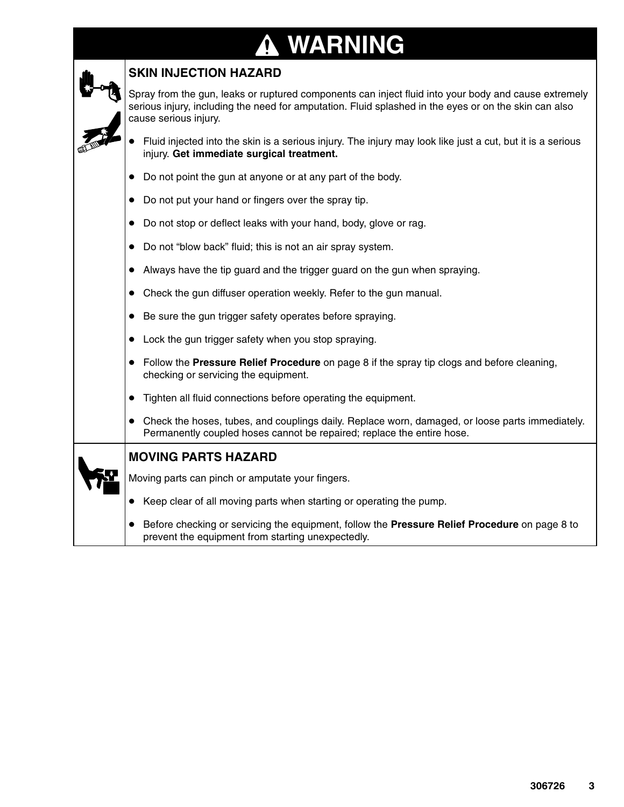## **A WARNING**

| <b>SKIN INJECTION HAZARD</b>                                                                                                                                                                                                           |
|----------------------------------------------------------------------------------------------------------------------------------------------------------------------------------------------------------------------------------------|
| Spray from the gun, leaks or ruptured components can inject fluid into your body and cause extremely<br>serious injury, including the need for amputation. Fluid splashed in the eyes or on the skin can also<br>cause serious injury. |
| Fluid injected into the skin is a serious injury. The injury may look like just a cut, but it is a serious<br>injury. Get immediate surgical treatment.                                                                                |
| Do not point the gun at anyone or at any part of the body.                                                                                                                                                                             |
| Do not put your hand or fingers over the spray tip.<br>$\bullet$                                                                                                                                                                       |
| Do not stop or deflect leaks with your hand, body, glove or rag.<br>$\bullet$                                                                                                                                                          |
| Do not "blow back" fluid; this is not an air spray system.<br>$\bullet$                                                                                                                                                                |
| Always have the tip guard and the trigger guard on the gun when spraying.                                                                                                                                                              |
| Check the gun diffuser operation weekly. Refer to the gun manual.<br>$\bullet$                                                                                                                                                         |
| Be sure the gun trigger safety operates before spraying.<br>$\bullet$                                                                                                                                                                  |
| Lock the gun trigger safety when you stop spraying.                                                                                                                                                                                    |
| Follow the Pressure Relief Procedure on page 8 if the spray tip clogs and before cleaning,<br>checking or servicing the equipment.                                                                                                     |
| Tighten all fluid connections before operating the equipment.                                                                                                                                                                          |
| Check the hoses, tubes, and couplings daily. Replace worn, damaged, or loose parts immediately.<br>Permanently coupled hoses cannot be repaired; replace the entire hose.                                                              |
| <b>MOVING PARTS HAZARD</b>                                                                                                                                                                                                             |
| Moving parts can pinch or amputate your fingers.                                                                                                                                                                                       |
| Keep clear of all moving parts when starting or operating the pump.                                                                                                                                                                    |
| Before checking or servicing the equipment, follow the Pressure Relief Procedure on page 8 to<br>prevent the equipment from starting unexpectedly.                                                                                     |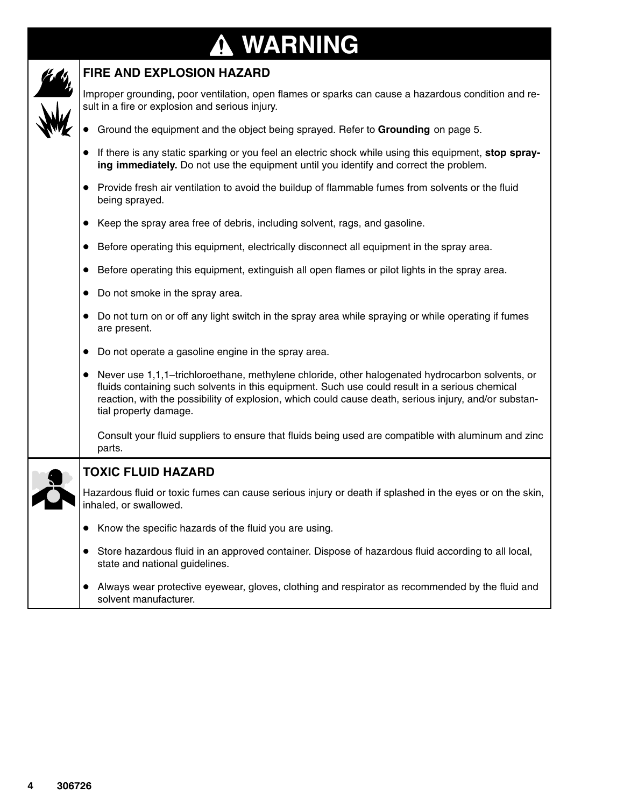#### **WARNING ↑**



#### **FIRE AND EXPLOSION HAZARD**

Improper grounding, poor ventilation, open flames or sparks can cause a hazardous condition and result in a fire or explosion and serious injury.

- Ground the equipment and the object being sprayed. Refer to **Grounding** on page 5.
- If there is any static sparking or you feel an electric shock while using this equipment, **stop spraying immediately.** Do not use the equipment until you identify and correct the problem.
- Provide fresh air ventilation to avoid the buildup of flammable fumes from solvents or the fluid being sprayed.
- Keep the spray area free of debris, including solvent, rags, and gasoline.
- Before operating this equipment, electrically disconnect all equipment in the spray area.
- Before operating this equipment, extinguish all open flames or pilot lights in the spray area.
- Do not smoke in the spray area.
- Do not turn on or off any light switch in the spray area while spraying or while operating if fumes are present.
- Do not operate a gasoline engine in the spray area.
- Never use 1,1,1–trichloroethane, methylene chloride, other halogenated hydrocarbon solvents, or fluids containing such solvents in this equipment. Such use could result in a serious chemical reaction, with the possibility of explosion, which could cause death, serious injury, and/or substantial property damage.

Consult your fluid suppliers to ensure that fluids being used are compatible with aluminum and zinc parts.

**TOXIC FLUID HAZARD**

Hazardous fluid or toxic fumes can cause serious injury or death if splashed in the eyes or on the skin, inhaled, or swallowed.

- Know the specific hazards of the fluid you are using.
- Store hazardous fluid in an approved container. Dispose of hazardous fluid according to all local, state and national guidelines.
- Always wear protective eyewear, gloves, clothing and respirator as recommended by the fluid and solvent manufacturer.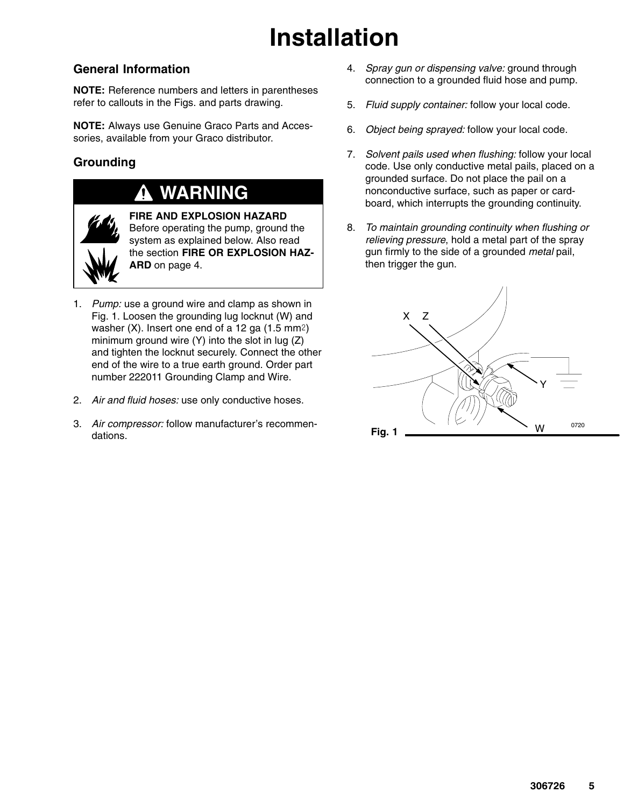## **Installation**

#### **General Information**

**NOTE:** Reference numbers and letters in parentheses refer to callouts in the Figs. and parts drawing.

**NOTE:** Always use Genuine Graco Parts and Accessories, available from your Graco distributor.

#### **Grounding**

### **WARNING**



**FIRE AND EXPLOSION HAZARD** Before operating the pump, ground the system as explained below. Also read the section **FIRE OR EXPLOSION HAZ-ARD** on page 4.

- 1. *Pump:* use a ground wire and clamp as shown in Fig. 1. Loosen the grounding lug locknut (W) and washer  $(X)$ . Insert one end of a 12 ga  $(1.5 \text{ mm}^2)$ minimum ground wire (Y) into the slot in lug (Z) and tighten the locknut securely. Connect the other end of the wire to a true earth ground. Order part number 222011 Grounding Clamp and Wire.
- 2. *Air and fluid hoses:* use only conductive hoses.
- 3. *Air compressor:* follow manufacturer's recommendations.
- 4. *Spray gun or dispensing valve:* ground through connection to a grounded fluid hose and pump.
- 5. *Fluid supply container:* follow your local code.
- 6. *Object being sprayed:* follow your local code.
- 7. *Solvent pails used when flushing:* follow your local code. Use only conductive metal pails, placed on a grounded surface. Do not place the pail on a nonconductive surface, such as paper or cardboard, which interrupts the grounding continuity.
- 8. *To maintain grounding continuity when flushing or relieving pressure*, hold a metal part of the spray gun firmly to the side of a grounded *metal* pail, then trigger the gun.

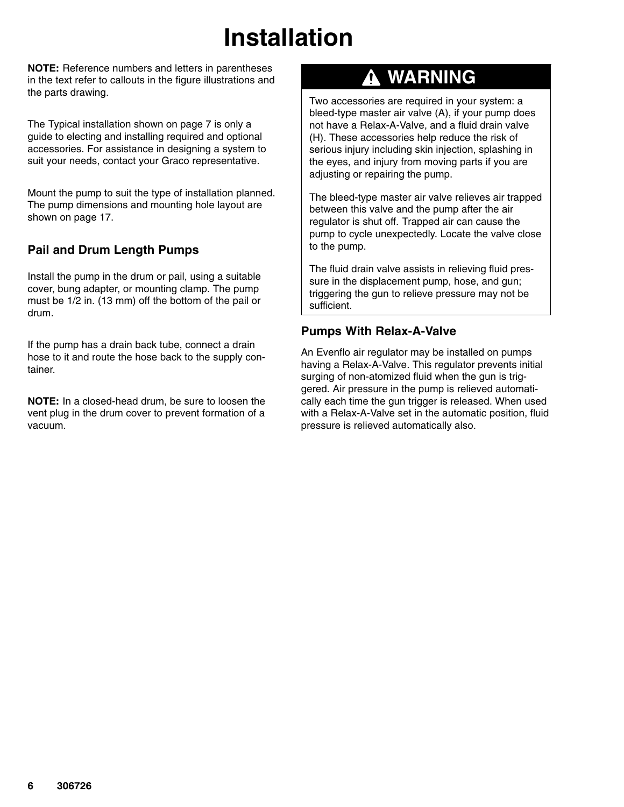## **Installation**

**NOTE:** Reference numbers and letters in parentheses in the text refer to callouts in the figure illustrations and the parts drawing.

The Typical installation shown on page 7 is only a guide to electing and installing required and optional accessories. For assistance in designing a system to suit your needs, contact your Graco representative.

Mount the pump to suit the type of installation planned. The pump dimensions and mounting hole layout are shown on page 17.

#### **Pail and Drum Length Pumps**

Install the pump in the drum or pail, using a suitable cover, bung adapter, or mounting clamp. The pump must be 1/2 in. (13 mm) off the bottom of the pail or drum.

If the pump has a drain back tube, connect a drain hose to it and route the hose back to the supply container.

**NOTE:** In a closed-head drum, be sure to loosen the vent plug in the drum cover to prevent formation of a vacuum.

### **WARNING**

Two accessories are required in your system: a bleed-type master air valve (A), if your pump does not have a Relax-A-Valve, and a fluid drain valve (H). These accessories help reduce the risk of serious injury including skin injection, splashing in the eyes, and injury from moving parts if you are adjusting or repairing the pump.

The bleed-type master air valve relieves air trapped between this valve and the pump after the air regulator is shut off. Trapped air can cause the pump to cycle unexpectedly. Locate the valve close to the pump.

The fluid drain valve assists in relieving fluid pressure in the displacement pump, hose, and gun; triggering the gun to relieve pressure may not be sufficient.

#### **Pumps With Relax-A-Valve**

An Evenflo air regulator may be installed on pumps having a Relax-A-Valve. This regulator prevents initial surging of non-atomized fluid when the gun is triggered. Air pressure in the pump is relieved automatically each time the gun trigger is released. When used with a Relax-A-Valve set in the automatic position, fluid pressure is relieved automatically also.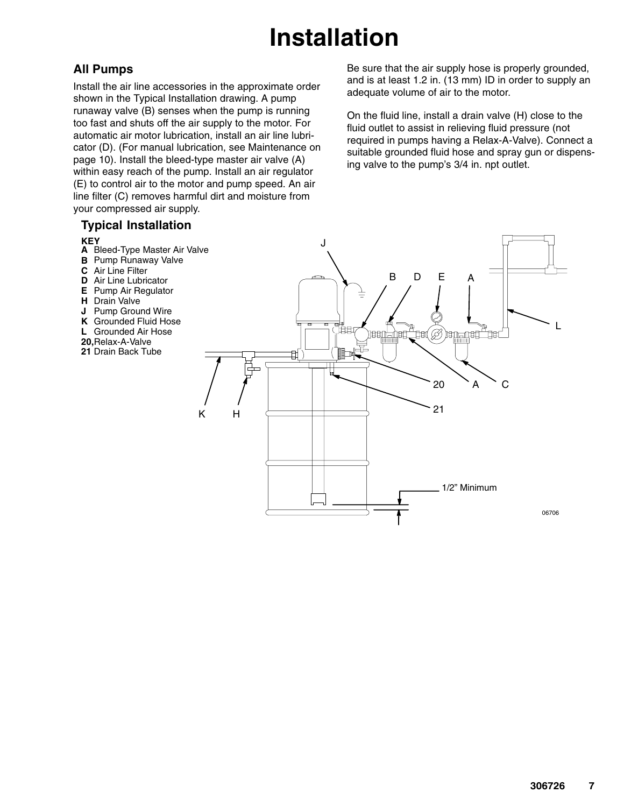## **Installation**

#### **All Pumps**

Install the air line accessories in the approximate order shown in the Typical Installation drawing. A pump runaway valve (B) senses when the pump is running too fast and shuts off the air supply to the motor. For automatic air motor lubrication, install an air line lubricator (D). (For manual lubrication, see Maintenance on page 10). Install the bleed-type master air valve (A) within easy reach of the pump. Install an air regulator (E) to control air to the motor and pump speed. An air line filter (C) removes harmful dirt and moisture from your compressed air supply.

#### **Typical Installation**

#### **KEY**

- **A** Bleed-Type Master Air Valve
- **B** Pump Runaway Valve
- **C** Air Line Filter
- **D** Air Line Lubricator
- **E** Pump Air Regulator
- **H** Drain Valve
- **J** Pump Ground Wire
- **K** Grounded Fluid Hose
- **L** Grounded Air Hose
- **20,** Relax-A-Valve
- **21** Drain Back Tube

Be sure that the air supply hose is properly grounded, and is at least 1.2 in. (13 mm) ID in order to supply an adequate volume of air to the motor.

On the fluid line, install a drain valve (H) close to the fluid outlet to assist in relieving fluid pressure (not required in pumps having a Relax-A-Valve). Connect a suitable grounded fluid hose and spray gun or dispensing valve to the pump's 3/4 in. npt outlet.

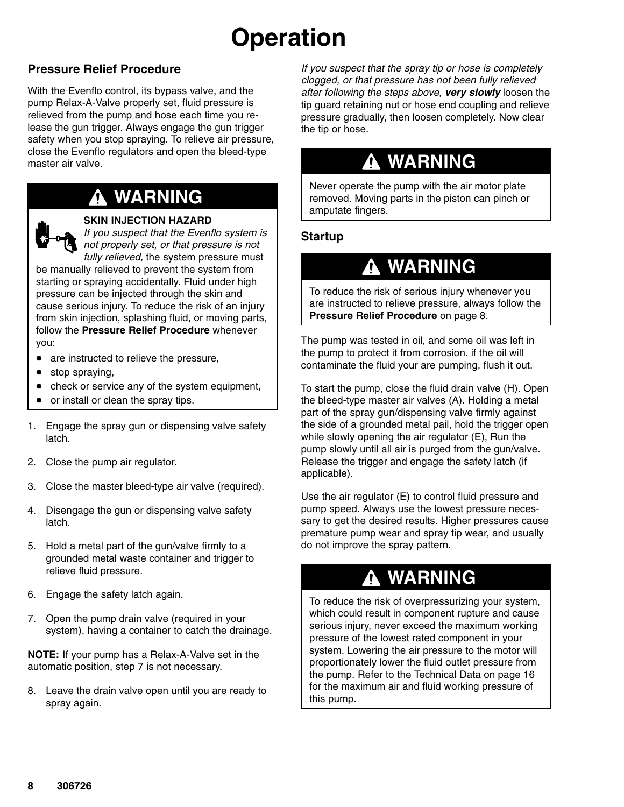## **Operation**

#### **Pressure Relief Procedure**

With the Evenflo control, its bypass valve, and the pump Relax-A-Valve properly set, fluid pressure is relieved from the pump and hose each time you release the gun trigger. Always engage the gun trigger safety when you stop spraying. To relieve air pressure, close the Evenflo regulators and open the bleed-type master air valve.

### **WARNING**

#### **SKIN INJECTION HAZARD**

*If you suspect that the Evenflo system is not properly set, or that pressure is not fully relieved,* the system pressure must

be manually relieved to prevent the system from starting or spraying accidentally. Fluid under high pressure can be injected through the skin and cause serious injury. To reduce the risk of an injury from skin injection, splashing fluid, or moving parts, follow the **Pressure Relief Procedure** whenever you:

- are instructed to relieve the pressure,
- stop spraying,
- check or service any of the system equipment,
- $\bullet$ or install or clean the spray tips.
- 1. Engage the spray gun or dispensing valve safety latch.
- 2. Close the pump air regulator.
- 3. Close the master bleed-type air valve (required).
- 4. Disengage the gun or dispensing valve safety latch.
- 5. Hold a metal part of the gun/valve firmly to a grounded metal waste container and trigger to relieve fluid pressure.
- 6. Engage the safety latch again.
- 7. Open the pump drain valve (required in your system), having a container to catch the drainage.

**NOTE:** If your pump has a Relax-A-Valve set in the automatic position, step 7 is not necessary.

8. Leave the drain valve open until you are ready to spray again.

*If you suspect that the spray tip or hose is completely clogged, or that pressure has not been fully relieved after following the steps above, very slowly* loosen the tip guard retaining nut or hose end coupling and relieve pressure gradually, then loosen completely. Now clear the tip or hose.

### **WARNING**

Never operate the pump with the air motor plate removed. Moving parts in the piston can pinch or amputate fingers.

#### **Startup**

### **WARNING**

To reduce the risk of serious injury whenever you are instructed to relieve pressure, always follow the **Pressure Relief Procedure** on page 8.

The pump was tested in oil, and some oil was left in the pump to protect it from corrosion. if the oil will contaminate the fluid your are pumping, flush it out.

To start the pump, close the fluid drain valve (H). Open the bleed-type master air valves (A). Holding a metal part of the spray gun/dispensing valve firmly against the side of a grounded metal pail, hold the trigger open while slowly opening the air regulator (E), Run the pump slowly until all air is purged from the gun/valve. Release the trigger and engage the safety latch (if applicable).

Use the air regulator (E) to control fluid pressure and pump speed. Always use the lowest pressure necessary to get the desired results. Higher pressures cause premature pump wear and spray tip wear, and usually do not improve the spray pattern.

### **WARNING**

To reduce the risk of overpressurizing your system, which could result in component rupture and cause serious injury, never exceed the maximum working pressure of the lowest rated component in your system. Lowering the air pressure to the motor will proportionately lower the fluid outlet pressure from the pump. Refer to the Technical Data on page 16 for the maximum air and fluid working pressure of this pump.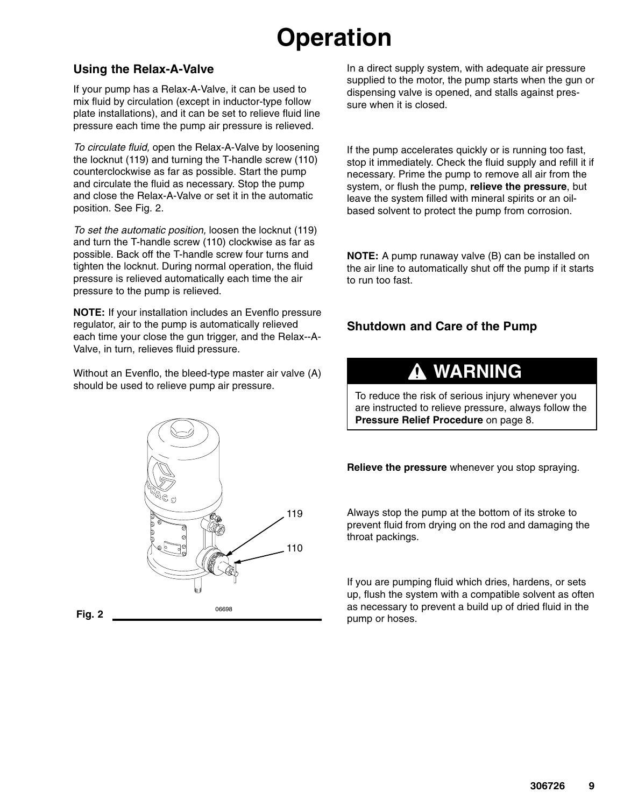## **Operation**

#### **Using the Relax-A-Valve**

If your pump has a Relax-A-Valve, it can be used to mix fluid by circulation (except in inductor-type follow plate installations), and it can be set to relieve fluid line pressure each time the pump air pressure is relieved.

*To circulate fluid,* open the Relax-A-Valve by loosening the locknut (119) and turning the T-handle screw (110) counterclockwise as far as possible. Start the pump and circulate the fluid as necessary. Stop the pump and close the Relax-A-Valve or set it in the automatic position. See Fig. 2.

*To set the automatic position,* loosen the locknut (119) and turn the T-handle screw (110) clockwise as far as possible. Back off the T-handle screw four turns and tighten the locknut. During normal operation, the fluid pressure is relieved automatically each time the air pressure to the pump is relieved.

**NOTE:** If your installation includes an Evenflo pressure regulator, air to the pump is automatically relieved each time your close the gun trigger, and the Relax--A-Valve, in turn, relieves fluid pressure.

Without an Evenflo, the bleed-type master air valve (A) should be used to relieve pump air pressure.



In a direct supply system, with adequate air pressure supplied to the motor, the pump starts when the gun or dispensing valve is opened, and stalls against pressure when it is closed.

If the pump accelerates quickly or is running too fast, stop it immediately. Check the fluid supply and refill it if necessary. Prime the pump to remove all air from the system, or flush the pump, **relieve the pressure**, but leave the system filled with mineral spirits or an oilbased solvent to protect the pump from corrosion.

**NOTE:** A pump runaway valve (B) can be installed on the air line to automatically shut off the pump if it starts to run too fast.

#### **Shutdown and Care of the Pump**

### **WARNING**

To reduce the risk of serious injury whenever you are instructed to relieve pressure, always follow the **Pressure Relief Procedure** on page 8.

**Relieve the pressure** whenever you stop spraying.

Always stop the pump at the bottom of its stroke to prevent fluid from drying on the rod and damaging the throat packings.

If you are pumping fluid which dries, hardens, or sets up, flush the system with a compatible solvent as often as necessary to prevent a build up of dried fluid in the pump or hoses.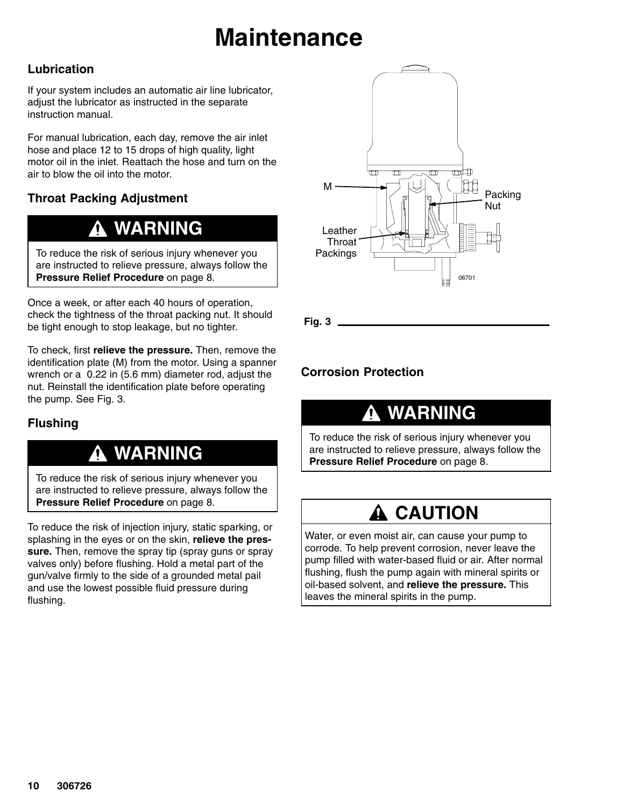## **Maintenance**

#### **Lubrication**

If your system includes an automatic air line lubricator, adjust the lubricator as instructed in the separate instruction manual.

For manual lubrication, each day, remove the air inlet hose and place 12 to 15 drops of high quality, light motor oil in the inlet. Reattach the hose and turn on the air to blow the oil into the motor.

#### **Throat Packing Adjustment**

### **WARNING**

To reduce the risk of serious injury whenever you are instructed to relieve pressure, always follow the **Pressure Relief Procedure** on page 8.

Once a week, or after each 40 hours of operation, check the tightness of the throat packing nut. It should be tight enough to stop leakage, but no tighter.

To check, first **relieve the pressure.** Then, remove the identification plate (M) from the motor. Using a spanner wrench or a 0.22 in (5.6 mm) diameter rod, adjust the nut. Reinstall the identification plate before operating the pump. See Fig. 3.

#### **Flushing**

### **WARNING**

To reduce the risk of serious injury whenever you are instructed to relieve pressure, always follow the **Pressure Relief Procedure** on page 8.

To reduce the risk of injection injury, static sparking, or splashing in the eyes or on the skin, **relieve the pressure.** Then, remove the spray tip (spray guns or spray valves only) before flushing. Hold a metal part of the gun/valve firmly to the side of a grounded metal pail and use the lowest possible fluid pressure during flushing.



**Fig. 3**

#### **Corrosion Protection**

### **WARNING**

To reduce the risk of serious injury whenever you are instructed to relieve pressure, always follow the **Pressure Relief Procedure** on page 8.

### **A CAUTION**

Water, or even moist air, can cause your pump to corrode. To help prevent corrosion, never leave the pump filled with water-based fluid or air. After normal flushing, flush the pump again with mineral spirits or oil-based solvent, and **relieve the pressure.** This leaves the mineral spirits in the pump.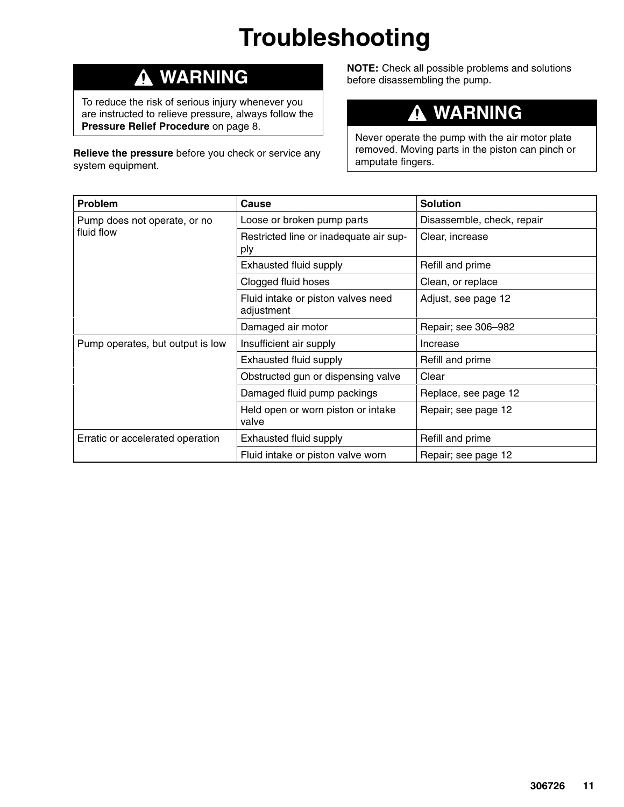## **Troubleshooting**

### **WARNING**

To reduce the risk of serious injury whenever you are instructed to relieve pressure, always follow the **Pressure Relief Procedure** on page 8.

**Relieve the pressure** before you check or service any system equipment.

**NOTE:** Check all possible problems and solutions before disassembling the pump.

#### **WARNING**  $\boldsymbol{\Lambda}$

Never operate the pump with the air motor plate removed. Moving parts in the piston can pinch or amputate fingers.

| Problem                          | Cause                                            | <b>Solution</b>            |
|----------------------------------|--------------------------------------------------|----------------------------|
| Pump does not operate, or no     | Loose or broken pump parts                       | Disassemble, check, repair |
| fluid flow                       | Restricted line or inadequate air sup-<br>ply    | Clear, increase            |
|                                  | Exhausted fluid supply                           | Refill and prime           |
|                                  | Clogged fluid hoses                              | Clean, or replace          |
|                                  | Fluid intake or piston valves need<br>adjustment | Adjust, see page 12        |
|                                  | Damaged air motor                                | Repair; see 306-982        |
| Pump operates, but output is low | Insufficient air supply                          | Increase                   |
|                                  | Exhausted fluid supply                           | Refill and prime           |
|                                  | Obstructed gun or dispensing valve               | Clear                      |
|                                  | Damaged fluid pump packings                      | Replace, see page 12       |
|                                  | Held open or worn piston or intake<br>valve      | Repair; see page 12        |
| Erratic or accelerated operation | Exhausted fluid supply                           | Refill and prime           |
|                                  | Fluid intake or piston valve worn                | Repair; see page 12        |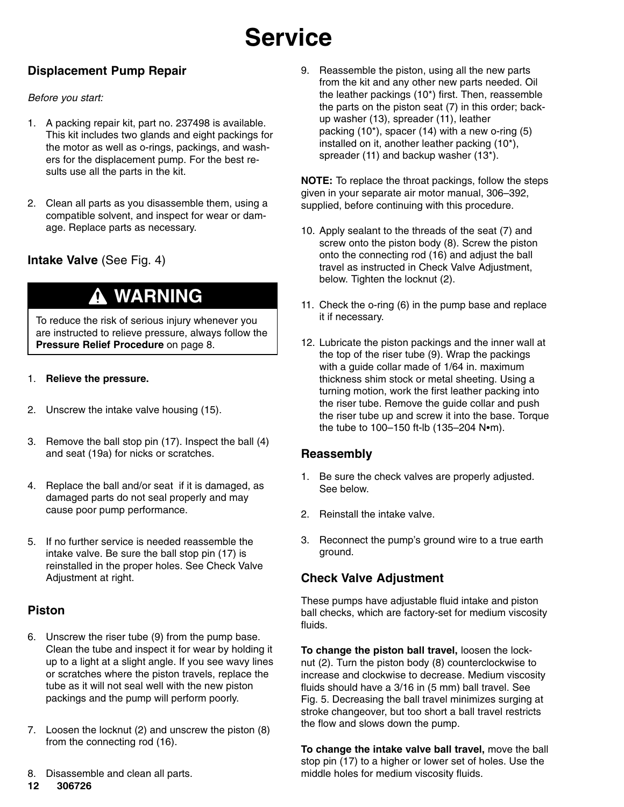## **Service**

#### **Displacement Pump Repair**

#### *Before you start:*

- 1. A packing repair kit, part no. 237498 is available. This kit includes two glands and eight packings for the motor as well as o-rings, packings, and washers for the displacement pump. For the best results use all the parts in the kit.
- 2. Clean all parts as you disassemble them, using a compatible solvent, and inspect for wear or damage. Replace parts as necessary.

#### **Intake Valve** (See Fig. 4)

### **WARNING**

To reduce the risk of serious injury whenever you are instructed to relieve pressure, always follow the **Pressure Relief Procedure** on page 8.

#### 1. **Relieve the pressure.**

- 2. Unscrew the intake valve housing (15).
- 3. Remove the ball stop pin (17). Inspect the ball (4) and seat (19a) for nicks or scratches.
- 4. Replace the ball and/or seat if it is damaged, as damaged parts do not seal properly and may cause poor pump performance.
- 5. If no further service is needed reassemble the intake valve. Be sure the ball stop pin (17) is reinstalled in the proper holes. See Check Valve Adjustment at right.

#### **Piston**

- 6. Unscrew the riser tube (9) from the pump base. Clean the tube and inspect it for wear by holding it up to a light at a slight angle. If you see wavy lines or scratches where the piston travels, replace the tube as it will not seal well with the new piston packings and the pump will perform poorly.
- 7. Loosen the locknut (2) and unscrew the piston (8) from the connecting rod (16).
- 8. Disassemble and clean all parts.
- $12$ 306726

9. Reassemble the piston, using all the new parts from the kit and any other new parts needed. Oil the leather packings (10\*) first. Then, reassemble the parts on the piston seat (7) in this order; backup washer (13), spreader (11), leather packing (10\*), spacer (14) with a new o-ring (5) installed on it, another leather packing (10\*), spreader (11) and backup washer (13\*).

**NOTE:** To replace the throat packings, follow the steps given in your separate air motor manual, 306–392, supplied, before continuing with this procedure.

- 10. Apply sealant to the threads of the seat (7) and screw onto the piston body (8). Screw the piston onto the connecting rod (16) and adjust the ball travel as instructed in Check Valve Adjustment, below. Tighten the locknut (2).
- 11. Check the o-ring (6) in the pump base and replace it if necessary.
- 12. Lubricate the piston packings and the inner wall at the top of the riser tube (9). Wrap the packings with a guide collar made of 1/64 in. maximum thickness shim stock or metal sheeting. Using a turning motion, work the first leather packing into the riser tube. Remove the guide collar and push the riser tube up and screw it into the base. Torque the tube to  $100-150$  ft-lb  $(135-204 \text{ N}\cdot\text{m})$ .

#### **Reassembly**

- 1. Be sure the check valves are properly adjusted. See below.
- 2. Reinstall the intake valve.
- 3. Reconnect the pump's ground wire to a true earth ground.

#### **Check Valve Adjustment**

These pumps have adjustable fluid intake and piston ball checks, which are factory-set for medium viscosity fluids.

**To change the piston ball travel,** loosen the locknut (2). Turn the piston body (8) counterclockwise to increase and clockwise to decrease. Medium viscosity fluids should have a 3/16 in (5 mm) ball travel. See Fig. 5. Decreasing the ball travel minimizes surging at stroke changeover, but too short a ball travel restricts the flow and slows down the pump.

**To change the intake valve ball travel,** move the ball stop pin (17) to a higher or lower set of holes. Use the middle holes for medium viscosity fluids.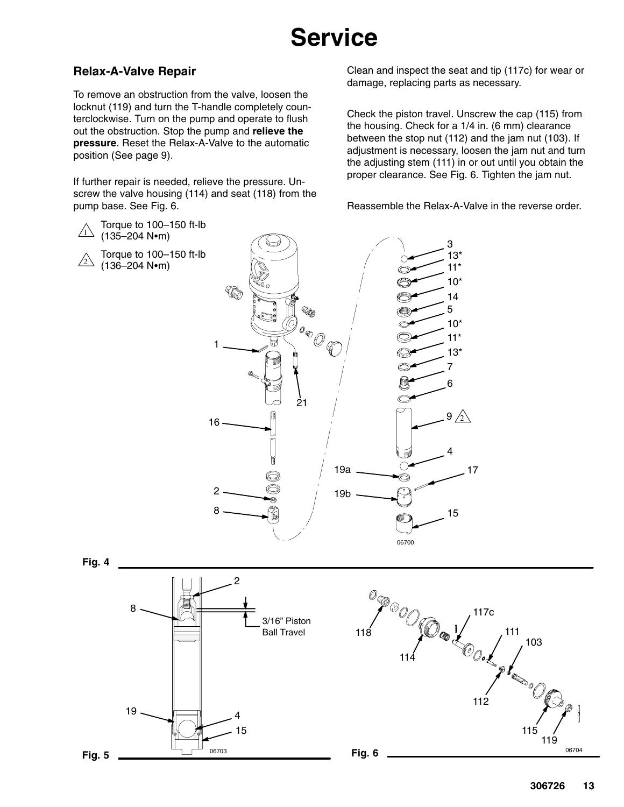## **Service**

#### **Relax-A-Valve Repair**

To remove an obstruction from the valve, loosen the locknut (119) and turn the T-handle completely counterclockwise. Turn on the pump and operate to flush out the obstruction. Stop the pump and **relieve the pressure**. Reset the Relax-A-Valve to the automatic position (See page 9).

If further repair is needed, relieve the pressure. Unscrew the valve housing (114) and seat (118) from the pump base. See Fig. 6.

Clean and inspect the seat and tip (117c) for wear or damage, replacing parts as necessary.

Check the piston travel. Unscrew the cap (115) from the housing. Check for a 1/4 in. (6 mm) clearance between the stop nut (112) and the jam nut (103). If adjustment is necessary, loosen the jam nut and turn the adjusting stem (111) in or out until you obtain the proper clearance. See Fig. 6. Tighten the jam nut.

Reassemble the Relax-A-Valve in the reverse order.



15 4

 $06703$  06704 06704

114

**Fig. 5 Fig. 6**

19

119

115

112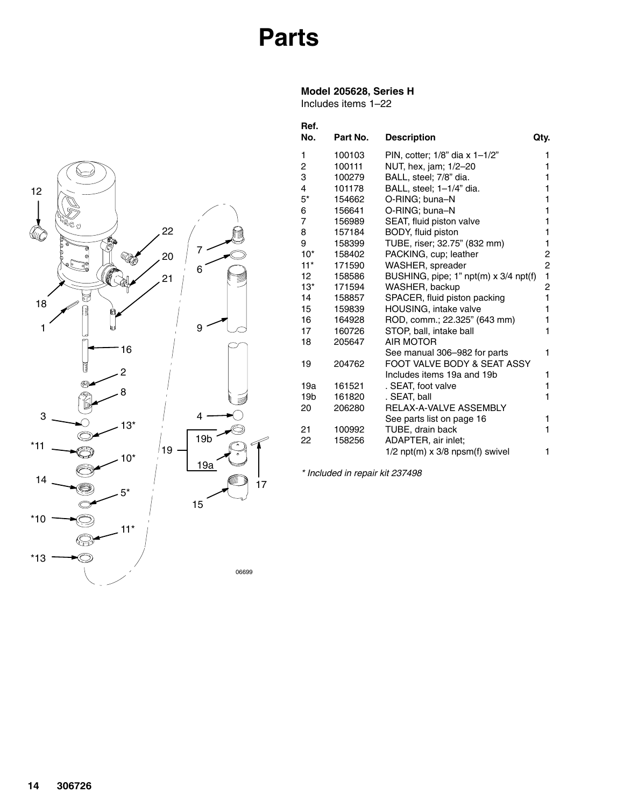

#### **Model 205628, Series H**

Includes items 1–22



| Ref.<br>No.     | Part No. | <b>Description</b>                    | Qty. |
|-----------------|----------|---------------------------------------|------|
| 1               | 100103   | PIN, cotter; $1/8$ " dia x $1-1/2$ "  | 1    |
| 2               | 100111   | NUT, hex, jam; 1/2-20                 | 1    |
| 3               | 100279   | BALL, steel; 7/8" dia.                | 1    |
| 4               | 101178   | BALL, steel; 1-1/4" dia.              | 1    |
| $5*$            | 154662   | O-RING; buna-N                        | 1    |
| 6               | 156641   | O-RING; buna-N                        | 1    |
| $\overline{7}$  | 156989   | SEAT, fluid piston valve              | 1    |
| 8               | 157184   | BODY, fluid piston                    | 1    |
| 9               | 158399   | TUBE, riser; 32.75" (832 mm)          | 1    |
| $10*$           | 158402   | PACKING, cup; leather                 | 2    |
| $11*$           | 171590   | WASHER, spreader                      | 2    |
| 12              | 158586   | BUSHING, pipe; 1" npt(m) x 3/4 npt(f) | 1    |
| $13*$           | 171594   | WASHER, backup                        | 2    |
| 14              | 158857   | SPACER, fluid piston packing          | 1    |
| 15              | 159839   | HOUSING, intake valve                 | 1    |
| 16              | 164928   | ROD, comm.; 22.325" (643 mm)          | 1    |
| 17              | 160726   | STOP, ball, intake ball               | 1    |
| 18              | 205647   | <b>AIR MOTOR</b>                      |      |
|                 |          | See manual 306-982 for parts          | 1    |
| 19              | 204762   | FOOT VALVE BODY & SEAT ASSY           |      |
|                 |          | Includes items 19a and 19b            | 1    |
| 19a             | 161521   | . SEAT, foot valve                    | 1    |
| 19 <sub>b</sub> | 161820   | . SEAT, ball                          | 1    |
| 20              | 206280   | RELAX-A-VALVE ASSEMBLY                |      |
|                 |          | See parts list on page 16             | 1    |
| 21              | 100992   | TUBE, drain back                      | 1    |
| 22              | 158256   | ADAPTER, air inlet;                   |      |
|                 |          | $1/2$ npt(m) x $3/8$ npsm(f) swivel   | 1    |

*\* Included in repair kit 237498*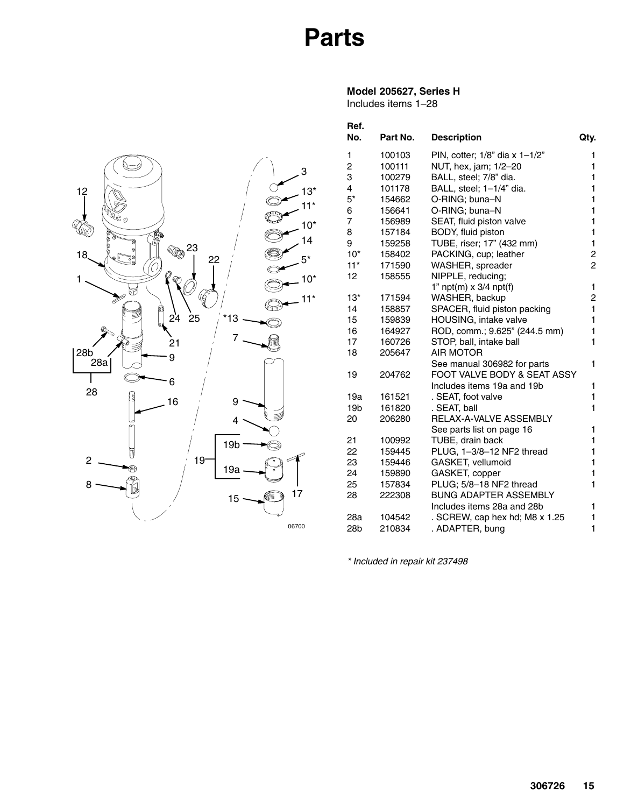### **Parts**

#### **Model 205627, Series H**

Includes items 1–28

| Ref.<br>No.     | Part No. | <b>Description</b>                   | Qty.           |
|-----------------|----------|--------------------------------------|----------------|
| 1               | 100103   | PIN, cotter; $1/8$ " dia x $1-1/2$ " | 1              |
| 2               | 100111   | NUT, hex, jam; 1/2-20                | 1              |
| 3               | 100279   | BALL, steel; 7/8" dia.               | 1              |
| 4               | 101178   | BALL, steel; 1-1/4" dia.             | 1              |
| $5*$            | 154662   | O-RING; buna-N                       | 1              |
| 6               | 156641   | O-RING; buna-N                       | 1              |
| 7               | 156989   | SEAT, fluid piston valve             | 1              |
| 8               | 157184   | BODY, fluid piston                   | 1              |
| 9               | 159258   | TUBE, riser; 17" (432 mm)            | 1              |
| $10*$           | 158402   | PACKING, cup; leather                | 2              |
| $11*$           | 171590   | WASHER, spreader                     | $\overline{2}$ |
| 12              | 158555   | NIPPLE, reducing;                    |                |
|                 |          | 1" $npt(m) \times 3/4$ npt(f)        | 1              |
| $13*$           | 171594   | WASHER, backup                       | 2              |
| 14              | 158857   | SPACER, fluid piston packing         | 1              |
| 15              | 159839   | HOUSING, intake valve                | 1              |
| 16              | 164927   | ROD, comm.; 9.625" (244.5 mm)        | 1              |
| 17              | 160726   | STOP, ball, intake ball              | 1              |
| 18              | 205647   | <b>AIR MOTOR</b>                     |                |
|                 |          | See manual 306982 for parts          | 1              |
| 19              | 204762   | FOOT VALVE BODY & SEAT ASSY          |                |
|                 |          | Includes items 19a and 19b           | 1              |
| 19a             | 161521   | . SEAT, foot valve                   | 1              |
| 19 <sub>b</sub> | 161820   | . SEAT, ball                         | 1              |
| 20              | 206280   | RELAX-A-VALVE ASSEMBLY               |                |
|                 |          | See parts list on page 16            | 1              |
| 21              | 100992   | TUBE, drain back                     | 1              |
| 22              | 159445   | PLUG, 1-3/8-12 NF2 thread            | 1              |
| 23              | 159446   | GASKET, vellumoid                    | 1              |
| 24              | 159890   | GASKET, copper                       | 1              |
| 25              | 157834   | PLUG; 5/8-18 NF2 thread              | 1              |
| 28              | 222308   | <b>BUNG ADAPTER ASSEMBLY</b>         |                |
|                 |          | Includes items 28a and 28b           | 1              |
| 28a             | 104542   | . SCREW, cap hex hd; M8 x 1.25       | 1              |
| 28 <sub>b</sub> | 210834   | . ADAPTER, bung                      | 1              |

*\* Included in repair kit 237498*

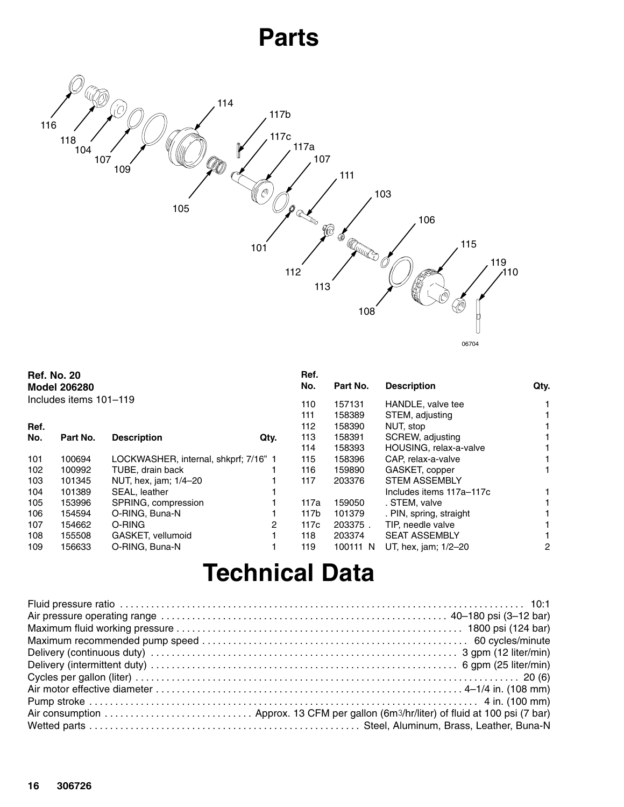### **Parts**



|                  | <b>Ref. No. 20</b><br><b>Model 206280</b> |                                       |      | Ref.<br>No. | Part No. | <b>Description</b>       | Qty. |
|------------------|-------------------------------------------|---------------------------------------|------|-------------|----------|--------------------------|------|
|                  | Includes items 101-119                    |                                       |      | 110         | 157131   | HANDLE, valve tee        | 1.   |
|                  |                                           |                                       |      | 111         | 158389   | STEM, adjusting          |      |
| Ref.             |                                           |                                       |      | 112         | 158390   | NUT, stop                |      |
| No.              | Part No.                                  | <b>Description</b>                    | Qty. | 113         | 158391   | SCREW, adjusting         |      |
|                  |                                           |                                       |      | 114         | 158393   | HOUSING, relax-a-valve   |      |
| 101              | 100694                                    | LOCKWASHER, internal, shkprf; 7/16" 1 |      | 115         | 158396   | CAP, relax-a-valve       |      |
| 102 <sub>2</sub> | 100992                                    | TUBE, drain back                      |      | 116         | 159890   | GASKET, copper           |      |
| 103              | 101345                                    | NUT, hex, jam; 1/4-20                 |      | 117         | 203376   | <b>STEM ASSEMBLY</b>     |      |
| 104              | 101389                                    | SEAL, leather                         |      |             |          | Includes items 117a-117c |      |
| 105              | 153996                                    | SPRING, compression                   |      | 117a        | 159050   | . STEM, valve            |      |
| 106              | 154594                                    | O-RING, Buna-N                        |      | 117b        | 101379   | . PIN, spring, straight  |      |
| 107              | 154662                                    | O-RING                                | 2    | 117c        | 203375.  | TIP, needle valve        |      |
| 108              | 155508                                    | GASKET, vellumoid                     |      | 118         | 203374   | <b>SEAT ASSEMBLY</b>     |      |
| 109              | 156633                                    | O-RING, Buna-N                        |      | 119         | 100111 N | UT, hex, jam; 1/2-20     | 2    |

## **Technical Data**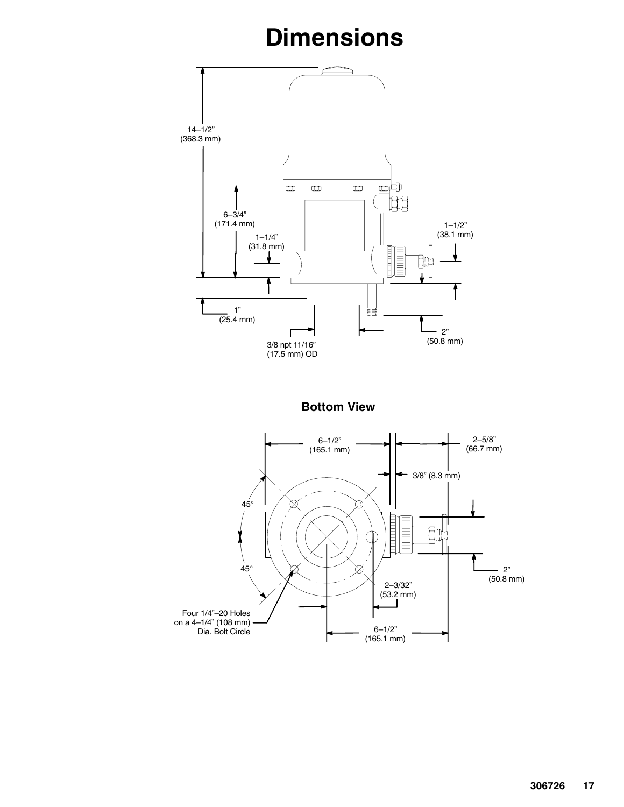## **Dimensions**

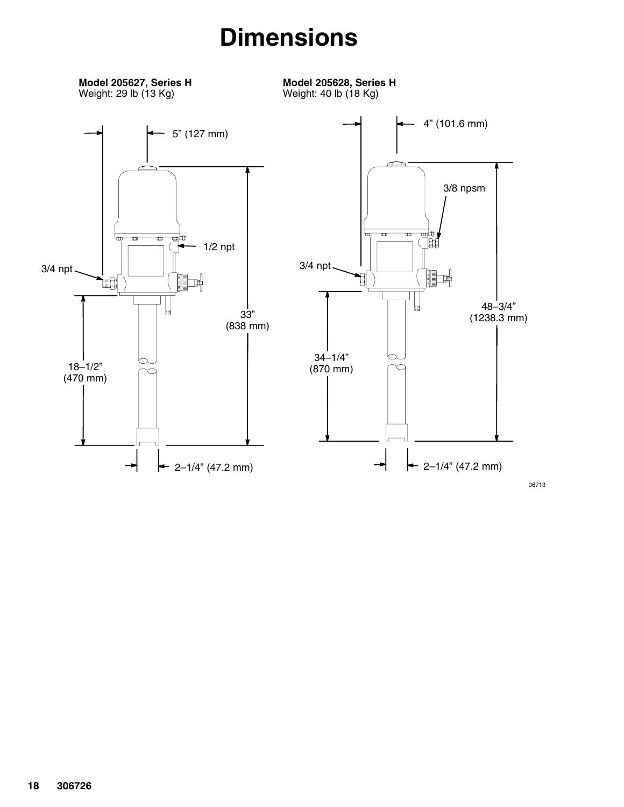### **Dimensions**

**Model 205627, Series H** Weight: 29 lb (13 Kg)

**Model 205628, Series H** Weight: 40 lb (18 Kg)

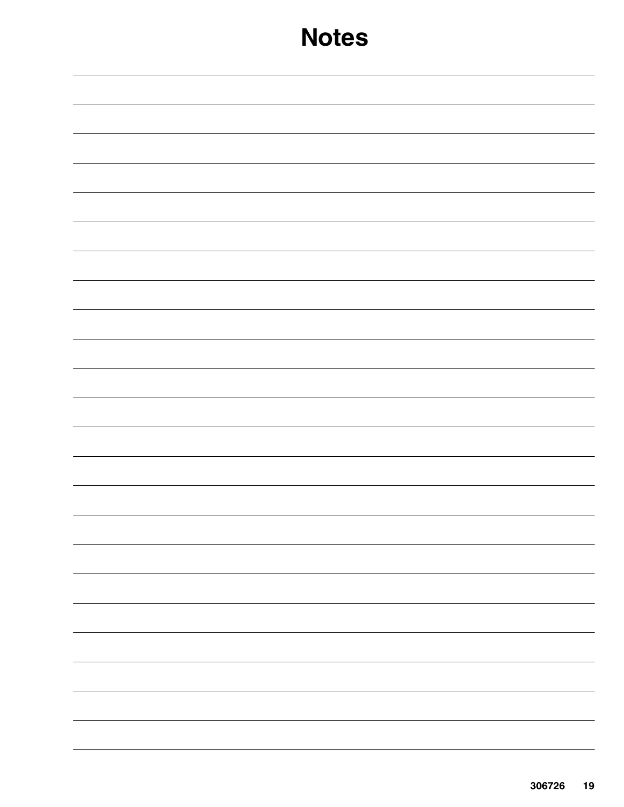| $\overline{\phantom{0}}$                                                                                                                                                                                                                                                                                                                                                                                                                                                   |
|----------------------------------------------------------------------------------------------------------------------------------------------------------------------------------------------------------------------------------------------------------------------------------------------------------------------------------------------------------------------------------------------------------------------------------------------------------------------------|
|                                                                                                                                                                                                                                                                                                                                                                                                                                                                            |
|                                                                                                                                                                                                                                                                                                                                                                                                                                                                            |
|                                                                                                                                                                                                                                                                                                                                                                                                                                                                            |
|                                                                                                                                                                                                                                                                                                                                                                                                                                                                            |
| $\sim$ 100 $\sim$                                                                                                                                                                                                                                                                                                                                                                                                                                                          |
|                                                                                                                                                                                                                                                                                                                                                                                                                                                                            |
|                                                                                                                                                                                                                                                                                                                                                                                                                                                                            |
|                                                                                                                                                                                                                                                                                                                                                                                                                                                                            |
|                                                                                                                                                                                                                                                                                                                                                                                                                                                                            |
|                                                                                                                                                                                                                                                                                                                                                                                                                                                                            |
|                                                                                                                                                                                                                                                                                                                                                                                                                                                                            |
|                                                                                                                                                                                                                                                                                                                                                                                                                                                                            |
|                                                                                                                                                                                                                                                                                                                                                                                                                                                                            |
|                                                                                                                                                                                                                                                                                                                                                                                                                                                                            |
|                                                                                                                                                                                                                                                                                                                                                                                                                                                                            |
|                                                                                                                                                                                                                                                                                                                                                                                                                                                                            |
|                                                                                                                                                                                                                                                                                                                                                                                                                                                                            |
|                                                                                                                                                                                                                                                                                                                                                                                                                                                                            |
|                                                                                                                                                                                                                                                                                                                                                                                                                                                                            |
|                                                                                                                                                                                                                                                                                                                                                                                                                                                                            |
|                                                                                                                                                                                                                                                                                                                                                                                                                                                                            |
|                                                                                                                                                                                                                                                                                                                                                                                                                                                                            |
|                                                                                                                                                                                                                                                                                                                                                                                                                                                                            |
|                                                                                                                                                                                                                                                                                                                                                                                                                                                                            |
| $\frac{1}{2} \left( \frac{1}{2} \right) \left( \frac{1}{2} \right) \left( \frac{1}{2} \right) \left( \frac{1}{2} \right) \left( \frac{1}{2} \right) \left( \frac{1}{2} \right) \left( \frac{1}{2} \right) \left( \frac{1}{2} \right) \left( \frac{1}{2} \right) \left( \frac{1}{2} \right) \left( \frac{1}{2} \right) \left( \frac{1}{2} \right) \left( \frac{1}{2} \right) \left( \frac{1}{2} \right) \left( \frac{1}{2} \right) \left( \frac{1}{2} \right) \left( \frac$ |
|                                                                                                                                                                                                                                                                                                                                                                                                                                                                            |
|                                                                                                                                                                                                                                                                                                                                                                                                                                                                            |
|                                                                                                                                                                                                                                                                                                                                                                                                                                                                            |
|                                                                                                                                                                                                                                                                                                                                                                                                                                                                            |
| $\overline{\phantom{0}}$                                                                                                                                                                                                                                                                                                                                                                                                                                                   |
|                                                                                                                                                                                                                                                                                                                                                                                                                                                                            |
|                                                                                                                                                                                                                                                                                                                                                                                                                                                                            |
|                                                                                                                                                                                                                                                                                                                                                                                                                                                                            |
|                                                                                                                                                                                                                                                                                                                                                                                                                                                                            |
|                                                                                                                                                                                                                                                                                                                                                                                                                                                                            |
|                                                                                                                                                                                                                                                                                                                                                                                                                                                                            |
|                                                                                                                                                                                                                                                                                                                                                                                                                                                                            |
|                                                                                                                                                                                                                                                                                                                                                                                                                                                                            |
|                                                                                                                                                                                                                                                                                                                                                                                                                                                                            |
|                                                                                                                                                                                                                                                                                                                                                                                                                                                                            |
|                                                                                                                                                                                                                                                                                                                                                                                                                                                                            |
|                                                                                                                                                                                                                                                                                                                                                                                                                                                                            |
|                                                                                                                                                                                                                                                                                                                                                                                                                                                                            |
|                                                                                                                                                                                                                                                                                                                                                                                                                                                                            |
|                                                                                                                                                                                                                                                                                                                                                                                                                                                                            |
|                                                                                                                                                                                                                                                                                                                                                                                                                                                                            |
|                                                                                                                                                                                                                                                                                                                                                                                                                                                                            |
|                                                                                                                                                                                                                                                                                                                                                                                                                                                                            |
|                                                                                                                                                                                                                                                                                                                                                                                                                                                                            |
|                                                                                                                                                                                                                                                                                                                                                                                                                                                                            |
|                                                                                                                                                                                                                                                                                                                                                                                                                                                                            |
|                                                                                                                                                                                                                                                                                                                                                                                                                                                                            |
|                                                                                                                                                                                                                                                                                                                                                                                                                                                                            |
|                                                                                                                                                                                                                                                                                                                                                                                                                                                                            |
|                                                                                                                                                                                                                                                                                                                                                                                                                                                                            |
|                                                                                                                                                                                                                                                                                                                                                                                                                                                                            |
|                                                                                                                                                                                                                                                                                                                                                                                                                                                                            |
|                                                                                                                                                                                                                                                                                                                                                                                                                                                                            |
|                                                                                                                                                                                                                                                                                                                                                                                                                                                                            |
|                                                                                                                                                                                                                                                                                                                                                                                                                                                                            |
|                                                                                                                                                                                                                                                                                                                                                                                                                                                                            |
|                                                                                                                                                                                                                                                                                                                                                                                                                                                                            |
|                                                                                                                                                                                                                                                                                                                                                                                                                                                                            |
|                                                                                                                                                                                                                                                                                                                                                                                                                                                                            |
|                                                                                                                                                                                                                                                                                                                                                                                                                                                                            |
|                                                                                                                                                                                                                                                                                                                                                                                                                                                                            |
|                                                                                                                                                                                                                                                                                                                                                                                                                                                                            |
|                                                                                                                                                                                                                                                                                                                                                                                                                                                                            |
|                                                                                                                                                                                                                                                                                                                                                                                                                                                                            |
|                                                                                                                                                                                                                                                                                                                                                                                                                                                                            |
|                                                                                                                                                                                                                                                                                                                                                                                                                                                                            |
|                                                                                                                                                                                                                                                                                                                                                                                                                                                                            |
|                                                                                                                                                                                                                                                                                                                                                                                                                                                                            |
|                                                                                                                                                                                                                                                                                                                                                                                                                                                                            |
|                                                                                                                                                                                                                                                                                                                                                                                                                                                                            |
|                                                                                                                                                                                                                                                                                                                                                                                                                                                                            |
|                                                                                                                                                                                                                                                                                                                                                                                                                                                                            |
|                                                                                                                                                                                                                                                                                                                                                                                                                                                                            |
|                                                                                                                                                                                                                                                                                                                                                                                                                                                                            |
|                                                                                                                                                                                                                                                                                                                                                                                                                                                                            |
|                                                                                                                                                                                                                                                                                                                                                                                                                                                                            |
|                                                                                                                                                                                                                                                                                                                                                                                                                                                                            |
|                                                                                                                                                                                                                                                                                                                                                                                                                                                                            |
|                                                                                                                                                                                                                                                                                                                                                                                                                                                                            |
|                                                                                                                                                                                                                                                                                                                                                                                                                                                                            |
|                                                                                                                                                                                                                                                                                                                                                                                                                                                                            |
|                                                                                                                                                                                                                                                                                                                                                                                                                                                                            |